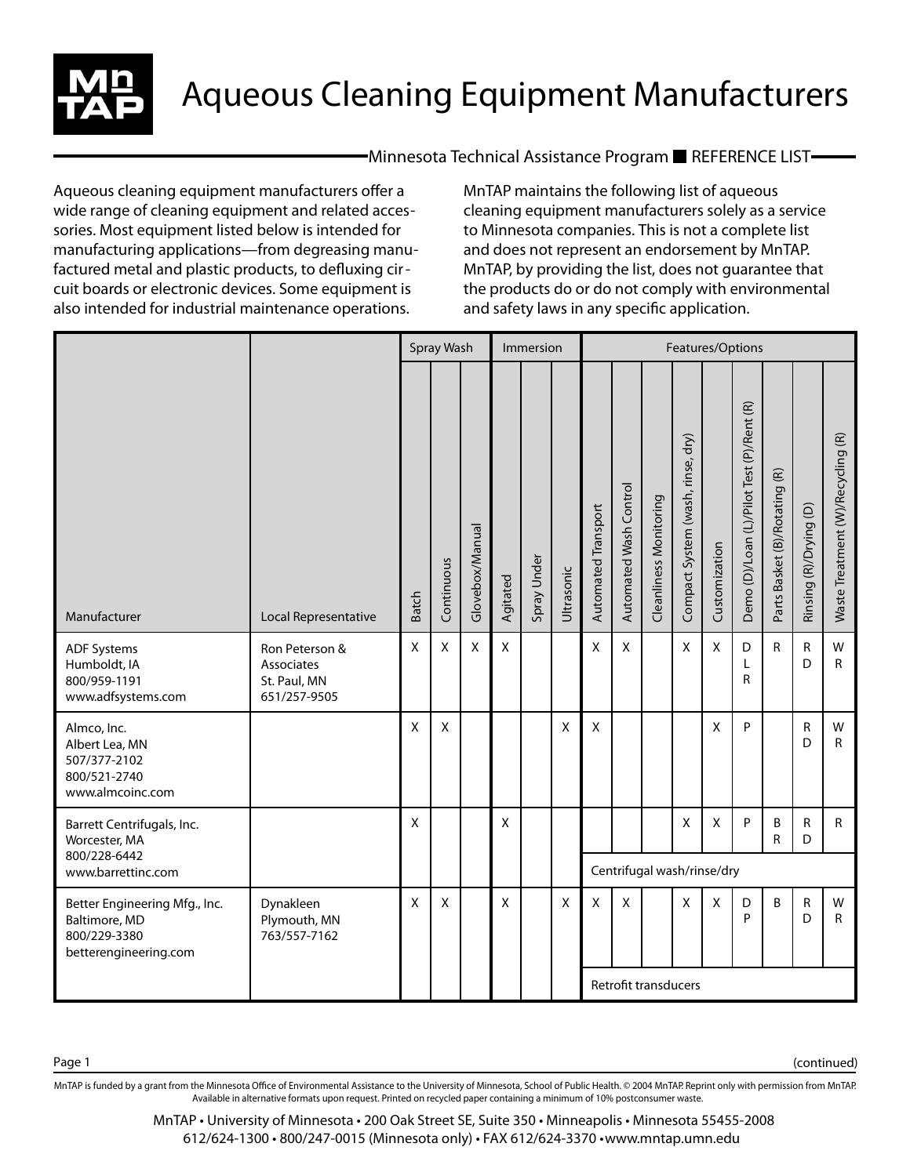

 $\blacksquare$ Minnesota Technical Assistance Program  $\blacksquare$  REFERENCE LIST $\blacksquare$ 

Aqueous cleaning equipment manufacturers offer a wide range of cleaning equipment and related accessories. Most equipment listed below is intended for manufacturing applications—from degreasing manufactured metal and plastic products, to defluxing circuit boards or electronic devices. Some equipment is also intended for industrial maintenance operations.

MnTAP maintains the following list of aqueous cleaning equipment manufacturers solely as a service to Minnesota companies. This is not a complete list and does not represent an endorsement by MnTAP. MnTAP, by providing the list, does not guarantee that the products do or do not comply with environmental and safety laws in any specific application.

|                                                                                         |                                                              | Spray Wash<br>Immersion |            |                 |          |             |            |                            | Features/Options       |                               |                                      |               |                                           |                               |                        |                                   |  |  |  |  |
|-----------------------------------------------------------------------------------------|--------------------------------------------------------------|-------------------------|------------|-----------------|----------|-------------|------------|----------------------------|------------------------|-------------------------------|--------------------------------------|---------------|-------------------------------------------|-------------------------------|------------------------|-----------------------------------|--|--|--|--|
| Manufacturer                                                                            | Local Representative                                         | <b>Batch</b>            | Continuous | Glovebox/Manual | Agitated | Spray Under | Ultrasonic | Automated Transport        | Automated Wash Control | <b>Cleanliness Monitoring</b> | dry)<br>Compact System (wash, rinse, | Customization | Demo (D)/Loan (L)/Pilot Test (P)/Rent (R) | Parts Basket (B)/Rotating (R) | Rinsing (R)/Drying (D) | Waste Treatment (W)/Recycling (R) |  |  |  |  |
| <b>ADF Systems</b><br>Humboldt, IA<br>800/959-1191<br>www.adfsystems.com                | Ron Peterson &<br>Associates<br>St. Paul, MN<br>651/257-9505 | X                       | X          | X               | X        |             |            | X                          | X                      |                               | X                                    | X             | D<br>L<br>R                               | R                             | R<br>D                 | W<br>$\mathsf{R}$                 |  |  |  |  |
| Almco, Inc.<br>Albert Lea, MN<br>507/377-2102<br>800/521-2740<br>www.almcoinc.com       |                                                              | X                       | X          |                 |          |             | X          | X                          |                        |                               |                                      | X             | P                                         |                               | R<br>D                 | W<br>$\mathsf{R}$                 |  |  |  |  |
| Barrett Centrifugals, Inc.<br>Worcester, MA<br>800/228-6442                             |                                                              | X                       |            |                 | X        |             |            |                            |                        |                               | X                                    | X             | P                                         | В<br>R                        | R<br>D                 | $\mathsf{R}$                      |  |  |  |  |
| www.barrettinc.com                                                                      |                                                              |                         |            |                 |          |             |            | Centrifugal wash/rinse/dry |                        |                               |                                      |               |                                           |                               |                        |                                   |  |  |  |  |
| Better Engineering Mfg., Inc.<br>Baltimore, MD<br>800/229-3380<br>betterengineering.com | Dynakleen<br>Plymouth, MN<br>763/557-7162                    | X                       | X          |                 | X        |             | X          | X                          | X                      |                               | $\boldsymbol{\mathsf{X}}$            | X             | D<br>P                                    | B                             | R<br>D                 | W<br>R                            |  |  |  |  |
|                                                                                         |                                                              |                         |            |                 |          |             |            |                            | Retrofit transducers   |                               |                                      |               |                                           |                               |                        |                                   |  |  |  |  |

MnTAP is funded by a grant from the Minnesota Office of Environmental Assistance to the University of Minnesota, School of Public Health. © 2004 MnTAP. Reprint only with permission from MnTAP. Available in alternative formats upon request. Printed on recycled paper containing a minimum of 10% postconsumer waste.

> MnTAP • University of Minnesota • 200 Oak Street SE, Suite 350 • Minneapolis • Minnesota 55455-2008 612/624-1300 • 800/247-0015 (Minnesota only) • FAX 612/624-3370 • www.mntap.umn.edu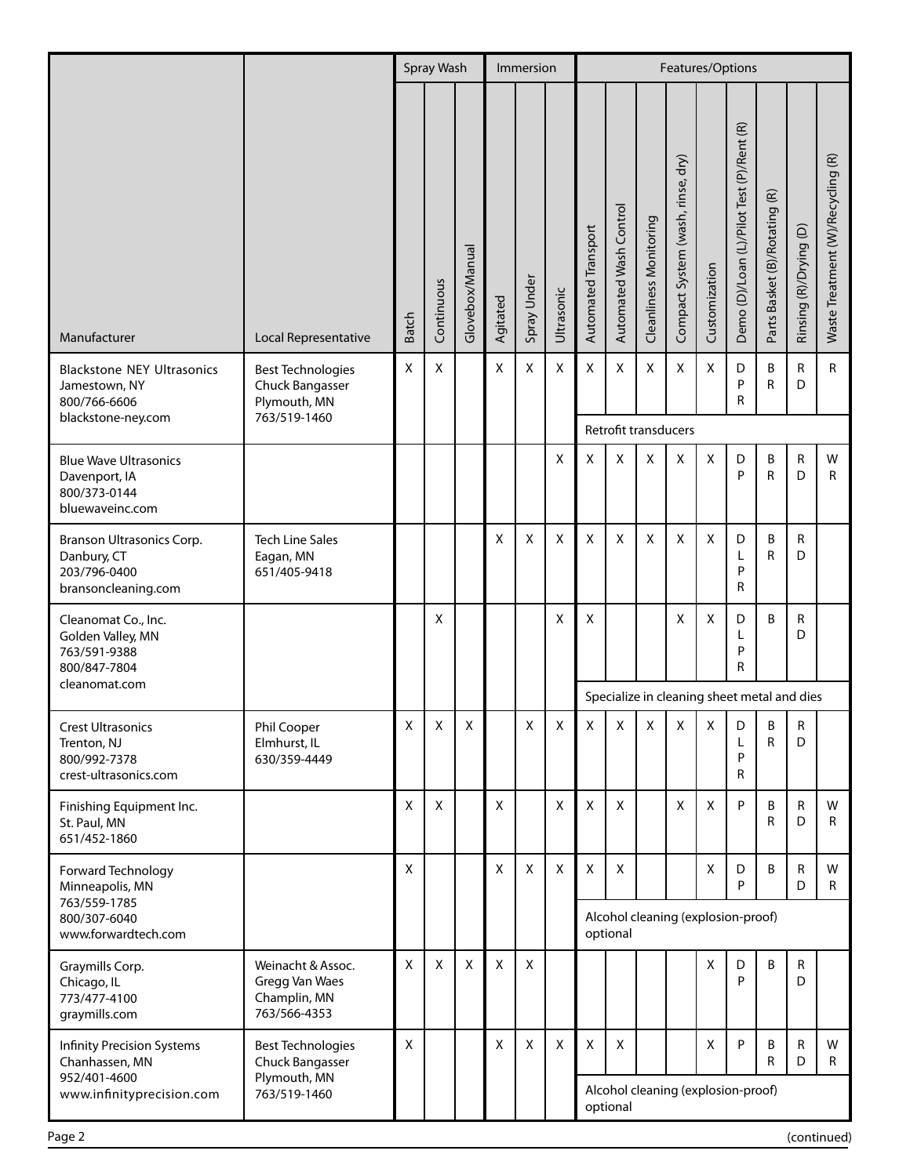|                                                                                  |                                                                     | Spray Wash   |                |                 |             | Immersion   |            |                                                | Features/Options       |                               |                                      |               |                                           |                               |                        |                                   |  |  |  |  |
|----------------------------------------------------------------------------------|---------------------------------------------------------------------|--------------|----------------|-----------------|-------------|-------------|------------|------------------------------------------------|------------------------|-------------------------------|--------------------------------------|---------------|-------------------------------------------|-------------------------------|------------------------|-----------------------------------|--|--|--|--|
| Manufacturer                                                                     | Local Representative                                                | <b>Batch</b> | Continuous     | Glovebox/Manual | Agitated    | Spray Under | Ultrasonic | Automated Transport                            | Automated Wash Control | <b>Cleanliness Monitoring</b> | dry)<br>Compact System (wash, rinse, | Customization | Demo (D)/Loan (L)/Pilot Test (P)/Rent (R) | Parts Basket (B)/Rotating (R) | Rinsing (R)/Drying (D) | Waste Treatment (W)/Recycling (R) |  |  |  |  |
| <b>Blackstone NEY Ultrasonics</b><br>Jamestown, NY<br>800/766-6606               | <b>Best Technologies</b><br>Chuck Bangasser<br>Plymouth, MN         | X            | X              |                 | X           | X           | X          | Χ                                              | X                      | X                             | X                                    | X             | D<br>P<br>R                               | В<br>R                        | R<br>D                 | R                                 |  |  |  |  |
| blackstone-ney.com                                                               | 763/519-1460                                                        |              |                |                 |             |             |            |                                                | Retrofit transducers   |                               |                                      |               |                                           |                               |                        |                                   |  |  |  |  |
| <b>Blue Wave Ultrasonics</b><br>Davenport, IA<br>800/373-0144<br>bluewaveinc.com |                                                                     |              |                |                 |             |             | X          | X                                              | X                      | Χ                             | Χ                                    | Χ             | D<br>P                                    | В<br>R                        | R<br>D                 | W<br>R                            |  |  |  |  |
| Branson Ultrasonics Corp.<br>Danbury, CT<br>203/796-0400<br>bransoncleaning.com  | <b>Tech Line Sales</b><br>Eagan, MN<br>651/405-9418                 |              |                |                 | X           | X           | X          | X                                              | X                      | X                             | X.                                   | X             | D<br>L<br>P<br>R                          | В<br>R                        | R<br>D                 |                                   |  |  |  |  |
| Cleanomat Co., Inc.<br>Golden Valley, MN<br>763/591-9388<br>800/847-7804         |                                                                     |              | X              |                 |             |             | X          | X                                              |                        |                               | X                                    | X             | D<br>L<br>P<br>R                          | B                             | R<br>D                 |                                   |  |  |  |  |
| cleanomat.com                                                                    |                                                                     |              |                |                 |             |             |            | Specialize in cleaning sheet metal and dies    |                        |                               |                                      |               |                                           |                               |                        |                                   |  |  |  |  |
| <b>Crest Ultrasonics</b><br>Trenton, NJ<br>800/992-7378<br>crest-ultrasonics.com | Phil Cooper<br>Elmhurst, IL<br>630/359-4449                         | Χ            | Χ              | Χ               |             | Χ           | Χ          | Χ                                              | Χ                      | Χ                             | х                                    | Χ             | D<br>L<br>P<br>R                          | В<br>R                        | R<br>D                 |                                   |  |  |  |  |
| Finishing Equipment Inc.<br>St. Paul, MN<br>651/452-1860                         |                                                                     | X            | $\pmb{\times}$ |                 | $\mathsf X$ |             | X          | $\mathsf X$                                    | X                      |                               | X                                    | $\mathsf X$   | P                                         | B<br>R                        | R<br>D                 | W<br>R                            |  |  |  |  |
| Forward Technology<br>Minneapolis, MN<br>763/559-1785                            |                                                                     | X            |                |                 | X           | X           | X          | Χ                                              | X                      |                               |                                      | X             | D<br>P                                    | B                             | R<br>D                 | W<br>R                            |  |  |  |  |
| 800/307-6040<br>www.forwardtech.com                                              |                                                                     |              |                |                 |             |             |            | Alcohol cleaning (explosion-proof)<br>optional |                        |                               |                                      |               |                                           |                               |                        |                                   |  |  |  |  |
| Graymills Corp.<br>Chicago, IL<br>773/477-4100<br>graymills.com                  | Weinacht & Assoc.<br>Gregg Van Waes<br>Champlin, MN<br>763/566-4353 | X            | $\pmb{\times}$ | X               | $\mathsf X$ | X           |            |                                                |                        |                               |                                      | X             | D<br>P                                    | B                             | R<br>D                 |                                   |  |  |  |  |
| <b>Infinity Precision Systems</b><br>Chanhassen, MN<br>952/401-4600              | <b>Best Technologies</b><br>Chuck Bangasser<br>Plymouth, MN         | X            |                |                 | X           | X           | X          | X                                              | Χ                      |                               |                                      | x             | P                                         | В<br>R                        | R<br>D                 | W<br>R                            |  |  |  |  |
| www.infinityprecision.com                                                        | 763/519-1460                                                        |              |                |                 |             |             |            | Alcohol cleaning (explosion-proof)<br>optional |                        |                               |                                      |               |                                           |                               |                        |                                   |  |  |  |  |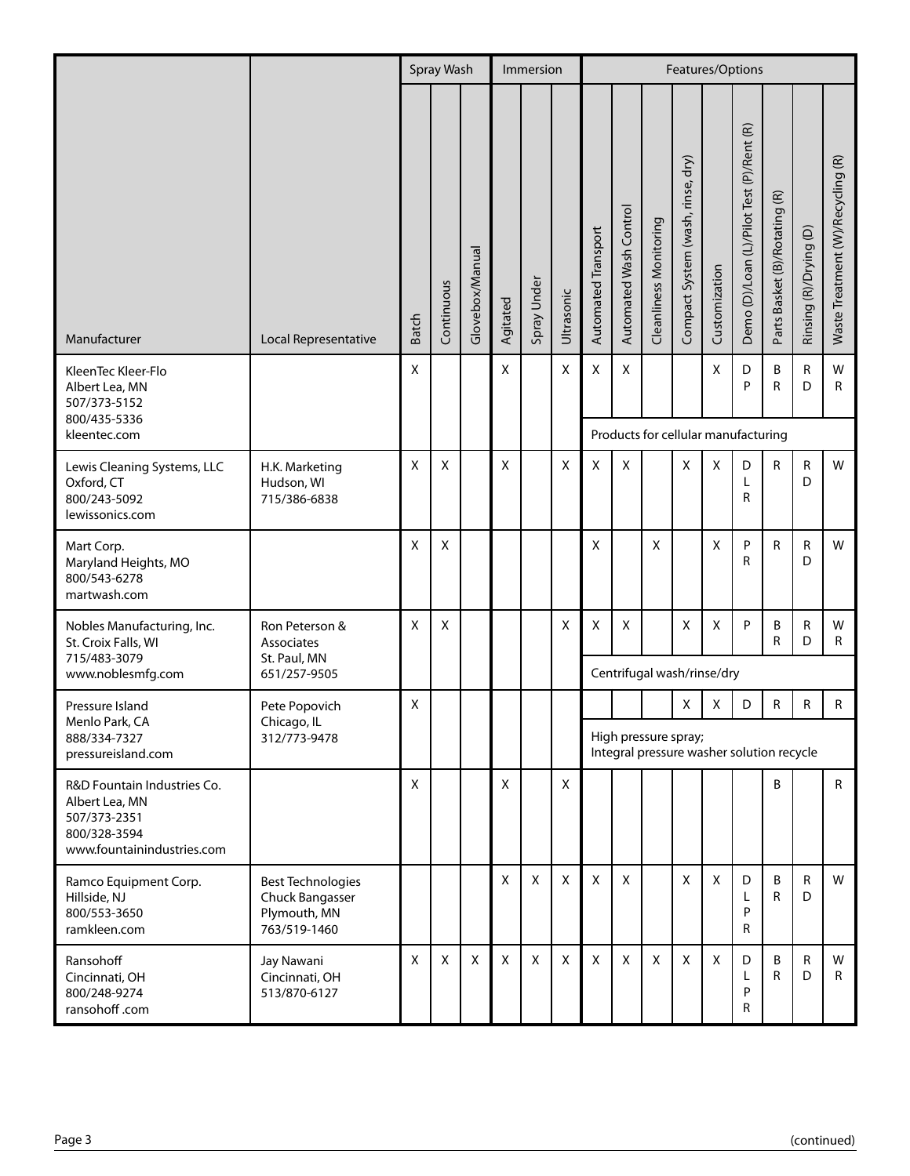|                                                                                                             |                                                                             |              | Spray Wash |                 |          | Immersion   |            | Features/Options                                                  |                                     |                               |                                      |               |                                           |                               |                        |                                   |  |  |
|-------------------------------------------------------------------------------------------------------------|-----------------------------------------------------------------------------|--------------|------------|-----------------|----------|-------------|------------|-------------------------------------------------------------------|-------------------------------------|-------------------------------|--------------------------------------|---------------|-------------------------------------------|-------------------------------|------------------------|-----------------------------------|--|--|
| Manufacturer                                                                                                | Local Representative                                                        | <b>Batch</b> | Continuous | Glovebox/Manual | Agitated | Spray Under | Ultrasonic | Automated Transport                                               | Automated Wash Control              | <b>Cleanliness Monitoring</b> | dry)<br>Compact System (wash, rinse, | Customization | Demo (D)/Loan (L)/Pilot Test (P)/Rent (R) | Parts Basket (B)/Rotating (R) | Rinsing (R)/Drying (D) | Waste Treatment (W)/Recycling (R) |  |  |
| KleenTec Kleer-Flo<br>Albert Lea, MN<br>507/373-5152<br>800/435-5336                                        |                                                                             | X            |            |                 | X        |             | X          | X                                                                 | Χ                                   |                               |                                      | х             | D<br>P                                    | В<br>R                        | R<br>D                 | W<br>R                            |  |  |
| kleentec.com                                                                                                |                                                                             |              |            |                 |          |             |            |                                                                   | Products for cellular manufacturing |                               |                                      |               |                                           |                               |                        |                                   |  |  |
| Lewis Cleaning Systems, LLC<br>Oxford, CT<br>800/243-5092<br>lewissonics.com                                | H.K. Marketing<br>Hudson, WI<br>715/386-6838                                | X            | Χ          |                 | X        |             | X          | X                                                                 | Χ                                   |                               | X                                    | X             | D<br>Г<br>R                               | R                             | R<br>D                 | W                                 |  |  |
| Mart Corp.<br>Maryland Heights, MO<br>800/543-6278<br>martwash.com                                          |                                                                             | X            | Χ          |                 |          |             |            | X                                                                 |                                     | X                             |                                      | X             | P<br>R                                    | R                             | R<br>D                 | W                                 |  |  |
| Nobles Manufacturing, Inc.<br>St. Croix Falls, WI<br>715/483-3079<br>www.noblesmfg.com                      | Ron Peterson &<br>Associates<br>St. Paul, MN<br>651/257-9505                | X            | X          |                 |          |             | X          | X                                                                 | X                                   |                               | X<br>Centrifugal wash/rinse/dry      | X             | P                                         | B<br>R                        | R<br>D                 | W<br>R                            |  |  |
| Pressure Island                                                                                             | Pete Popovich                                                               | X            |            |                 |          |             |            |                                                                   |                                     |                               | Χ                                    | Χ             | D                                         | R                             | R                      | $\mathsf{R}$                      |  |  |
| Menlo Park, CA<br>888/334-7327<br>pressureisland.com                                                        | Chicago, IL<br>312/773-9478                                                 |              |            |                 |          |             |            | High pressure spray;<br>Integral pressure washer solution recycle |                                     |                               |                                      |               |                                           |                               |                        |                                   |  |  |
| R&D Fountain Industries Co.<br>Albert Lea, MN<br>507/373-2351<br>800/328-3594<br>www.fountainindustries.com |                                                                             | X            |            |                 | X        |             | X          |                                                                   |                                     |                               |                                      |               |                                           | B                             |                        | $\mathsf{R}$                      |  |  |
| Ramco Equipment Corp.<br>Hillside, NJ<br>800/553-3650<br>ramkleen.com                                       | <b>Best Technologies</b><br>Chuck Bangasser<br>Plymouth, MN<br>763/519-1460 |              |            |                 | X        | X           | X          | $\pmb{\times}$                                                    | X                                   |                               | X                                    | X             | D<br>L<br>P<br>R                          | B<br>R                        | R<br>D                 | W                                 |  |  |
| Ransohoff<br>Cincinnati, OH<br>800/248-9274<br>ransohoff.com                                                | Jay Nawani<br>Cincinnati, OH<br>513/870-6127                                | X            | X          | X               | X        | X           | X          | X                                                                 | X                                   | X                             | X                                    | Χ             | D<br>Г<br>P<br>R                          | B<br>R                        | R<br>D                 | W<br>R                            |  |  |